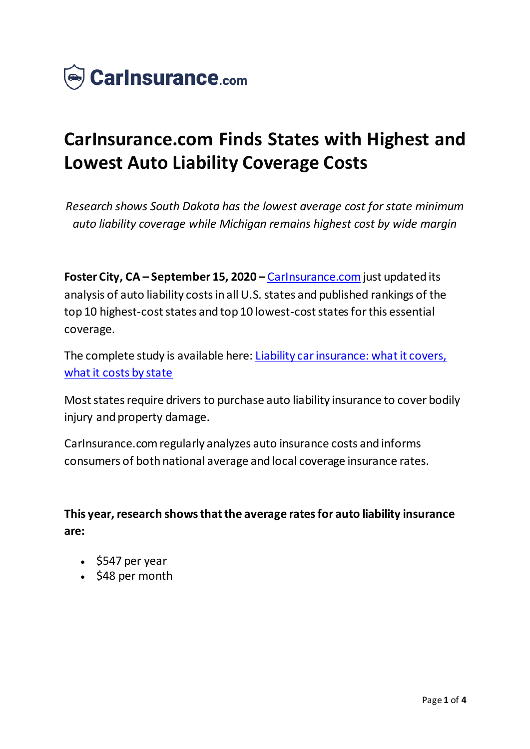

# **CarInsurance.com Finds States with Highest and Lowest Auto Liability Coverage Costs**

*Research shows South Dakota has the lowest average cost for state minimum auto liability coverage while Michigan remains highest cost by wide margin*

**Foster City, CA – September 15, 2020 –** [CarInsurance.com](https://www.carinsurance.com/) just updated its analysis of auto liability costs in all U.S. states and published rankings of the top 10 highest-cost states and top 10 lowest-cost states for this essential coverage.

The complete study is available here: [Liability car insurance: what it covers,](https://www.carinsurance.com/coverage-definition/liability-car-insurance.aspx)  [what it costs by state](https://www.carinsurance.com/coverage-definition/liability-car-insurance.aspx)

Most states require drivers to purchase auto liability insurance to cover bodily injury and property damage.

CarInsurance.com regularly analyzes auto insurance costs and informs consumers of both national average and local coverage insurance rates.

**This year, research shows that the average rates for auto liability insurance are:**

- $\cdot$  \$547 per year
- $\cdot$  \$48 per month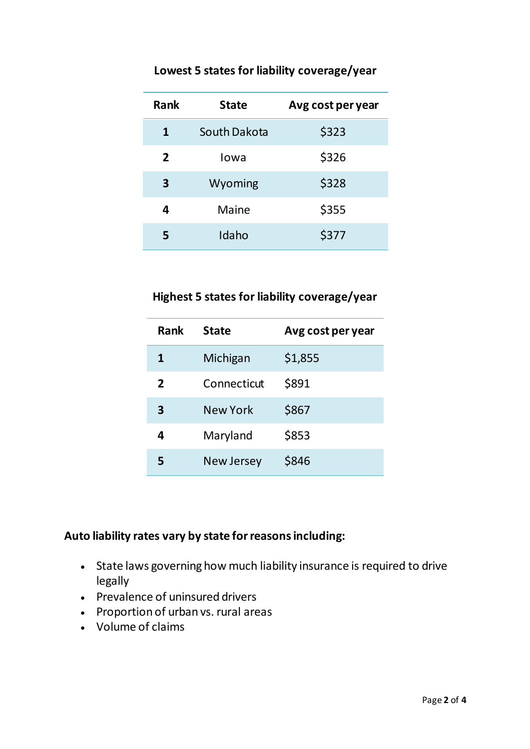| <b>Rank</b>    | <b>State</b> | Avg cost per year |
|----------------|--------------|-------------------|
| 1              | South Dakota | \$323             |
| $\overline{2}$ | Iowa         | \$326             |
| 3              | Wyoming      | \$328             |
| 4              | Maine        | \$355             |
| 5              | Idaho        | \$377             |

## **Lowest 5 states for liability coverage/year**

#### **Highest 5 states for liability coverage/year**

| <b>Rank</b>  | <b>State</b>      | Avg cost per year |
|--------------|-------------------|-------------------|
| 1            | Michigan          | \$1,855           |
| $\mathbf{z}$ | Connecticut       | \$891             |
| 3            | <b>New York</b>   | \$867             |
| Δ            | Maryland          | \$853             |
|              | <b>New Jersey</b> | \$846             |

## **Auto liability rates vary by state for reasons including:**

- State laws governing how much liability insurance is required to drive legally
- Prevalence of uninsured drivers
- Proportion of urban vs. rural areas
- Volume of claims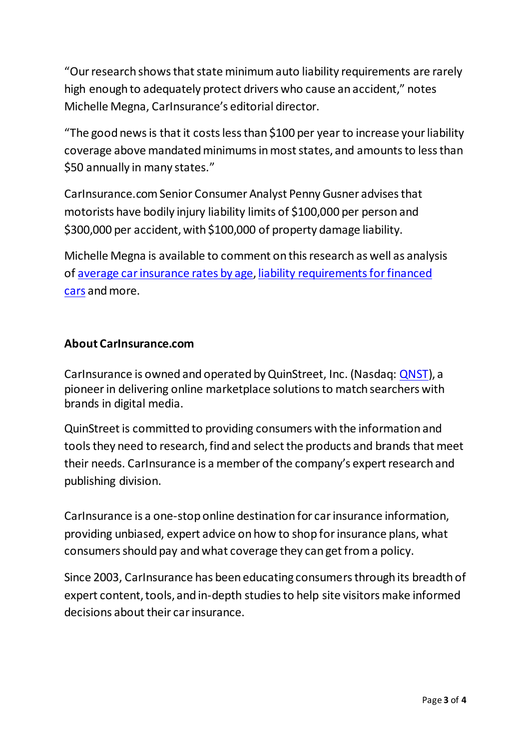"Our research shows that state minimum auto liability requirements are rarely high enough to adequately protect drivers who cause an accident," notes Michelle Megna, CarInsurance's editorial director.

"The good news is that it costs less than \$100 per year to increase your liability coverage above mandated minimums in most states, and amounts to less than \$50 annually in many states."

CarInsurance.com Senior Consumer Analyst Penny Gusner advises that motorists have bodily injury liability limits of \$100,000 per person and \$300,000 per accident, with \$100,000 of property damage liability.

Michelle Megna is available to comment on this research as well as analysis of [average car insurance rates by age,](https://www.carinsurance.com/average-rates-by-age.aspx) [liability requirements for financed](https://www.carinsurance.com/can-have-liability-insurance-financed-car.aspx)  [cars](https://www.carinsurance.com/can-have-liability-insurance-financed-car.aspx) and more.

#### **About CarInsurance.com**

CarInsurance is owned and operated by QuinStreet, Inc. (Nasdaq: [QNST](https://www.globenewswire.com/Tracker?data=nIE80Pg4a4CF_2hibnrCwRdYrY-HFtd7HRKnYBpfLjdk8-fWdjzFAv5PNFXp51BdodbCvC6QVxm_2Yue2ZEIsw==)), a pioneer in delivering online marketplace solutions to match searchers with brands in digital media.

QuinStreet is committed to providing consumers with the information and tools they need to research, find and select the products and brands that meet their needs. CarInsurance is a member of the company's expert research and publishing division.

CarInsurance is a one-stop online destination for car insurance information, providing unbiased, expert advice on how to shop for insurance plans, what consumers should pay and what coverage they can get from a policy.

Since 2003, CarInsurance has been educating consumers through its breadth of expert content, tools, and in-depth studies to help site visitors make informed decisions about their car insurance.